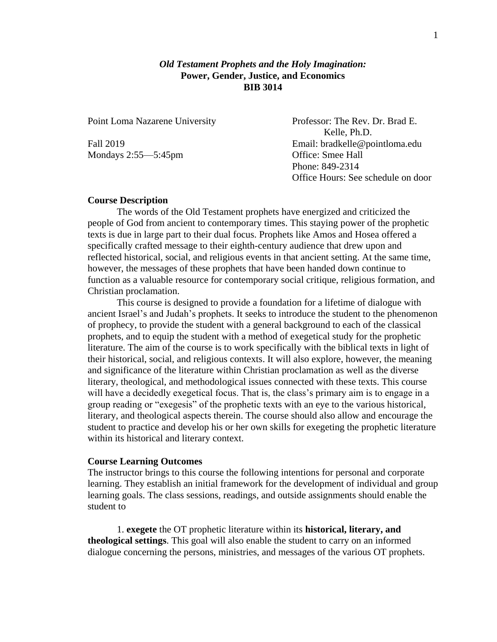# *Old Testament Prophets and the Holy Imagination:* **Power, Gender, Justice, and Economics BIB 3014**

Mondays 2:55—5:45pm Office: Smee Hall

Point Loma Nazarene University Professor: The Rev. Dr. Brad E. Kelle, Ph.D. Fall 2019 Email: bradkelle@pointloma.edu Phone: 849-2314 Office Hours: See schedule on door

## **Course Description**

The words of the Old Testament prophets have energized and criticized the people of God from ancient to contemporary times. This staying power of the prophetic texts is due in large part to their dual focus. Prophets like Amos and Hosea offered a specifically crafted message to their eighth-century audience that drew upon and reflected historical, social, and religious events in that ancient setting. At the same time, however, the messages of these prophets that have been handed down continue to function as a valuable resource for contemporary social critique, religious formation, and Christian proclamation.

This course is designed to provide a foundation for a lifetime of dialogue with ancient Israel's and Judah's prophets. It seeks to introduce the student to the phenomenon of prophecy, to provide the student with a general background to each of the classical prophets, and to equip the student with a method of exegetical study for the prophetic literature. The aim of the course is to work specifically with the biblical texts in light of their historical, social, and religious contexts. It will also explore, however, the meaning and significance of the literature within Christian proclamation as well as the diverse literary, theological, and methodological issues connected with these texts. This course will have a decidedly exegetical focus. That is, the class's primary aim is to engage in a group reading or "exegesis" of the prophetic texts with an eye to the various historical, literary, and theological aspects therein. The course should also allow and encourage the student to practice and develop his or her own skills for exegeting the prophetic literature within its historical and literary context.

## **Course Learning Outcomes**

The instructor brings to this course the following intentions for personal and corporate learning. They establish an initial framework for the development of individual and group learning goals. The class sessions, readings, and outside assignments should enable the student to

1. **exegete** the OT prophetic literature within its **historical, literary, and theological settings**. This goal will also enable the student to carry on an informed dialogue concerning the persons, ministries, and messages of the various OT prophets.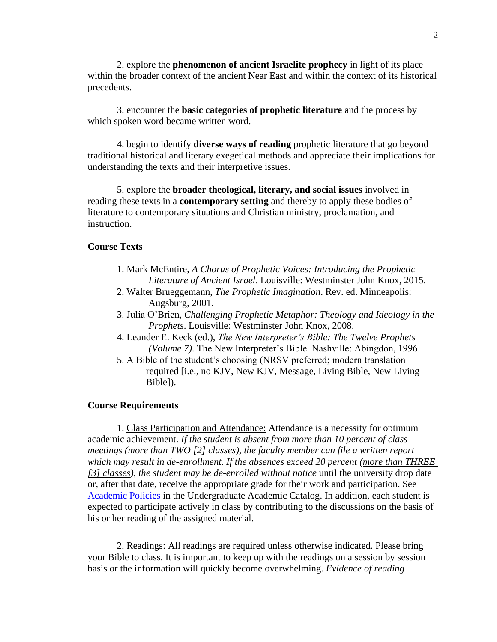2. explore the **phenomenon of ancient Israelite prophecy** in light of its place within the broader context of the ancient Near East and within the context of its historical precedents.

3. encounter the **basic categories of prophetic literature** and the process by which spoken word became written word.

4. begin to identify **diverse ways of reading** prophetic literature that go beyond traditional historical and literary exegetical methods and appreciate their implications for understanding the texts and their interpretive issues.

5. explore the **broader theological, literary, and social issues** involved in reading these texts in a **contemporary setting** and thereby to apply these bodies of literature to contemporary situations and Christian ministry, proclamation, and instruction.

# **Course Texts**

- 1. Mark McEntire, *A Chorus of Prophetic Voices: Introducing the Prophetic Literature of Ancient Israel*. Louisville: Westminster John Knox, 2015.
- 2. Walter Brueggemann, *The Prophetic Imagination*. Rev. ed. Minneapolis: Augsburg, 2001.
- 3. Julia O'Brien, *Challenging Prophetic Metaphor: Theology and Ideology in the Prophets*. Louisville: Westminster John Knox, 2008.
- 4. Leander E. Keck (ed.), *The New Interpreter's Bible: The Twelve Prophets (Volume 7)*. The New Interpreter's Bible. Nashville: Abingdon, 1996.
- 5. A Bible of the student's choosing (NRSV preferred; modern translation required [i.e., no KJV, New KJV, Message, Living Bible, New Living Bible]).

# **Course Requirements**

1. Class Participation and Attendance: Attendance is a necessity for optimum academic achievement. *If the student is absent from more than 10 percent of class meetings (more than TWO [2] classes), the faculty member can file a written report which may result in de-enrollment. If the absences exceed 20 percent (more than THREE [3] classes), the student may be de-enrolled without notice* until the university drop date or, after that date, receive the appropriate grade for their work and participation. See [Academic Policies](http://catalog.pointloma.edu/content.php?catoid=18&navoid=1278) in the Undergraduate Academic Catalog. In addition, each student is expected to participate actively in class by contributing to the discussions on the basis of his or her reading of the assigned material.

2. Readings: All readings are required unless otherwise indicated. Please bring your Bible to class. It is important to keep up with the readings on a session by session basis or the information will quickly become overwhelming. *Evidence of reading*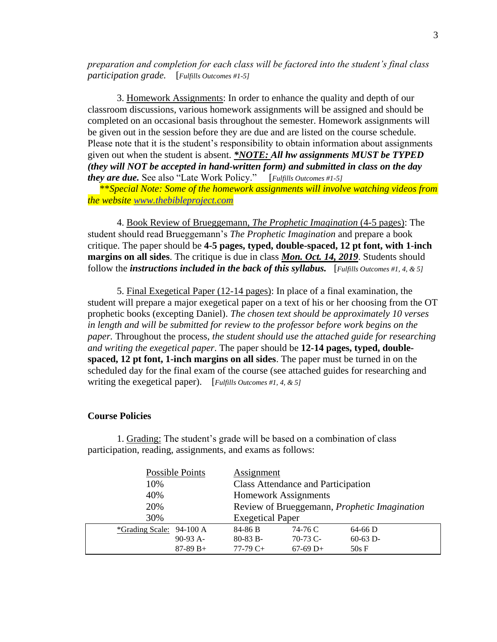*preparation and completion for each class will be factored into the student's final class participation grade.* [*Fulfills Outcomes #1-5]*

3. Homework Assignments: In order to enhance the quality and depth of our classroom discussions, various homework assignments will be assigned and should be completed on an occasional basis throughout the semester. Homework assignments will be given out in the session before they are due and are listed on the course schedule. Please note that it is the student's responsibility to obtain information about assignments given out when the student is absent. *\*NOTE: All hw assignments MUST be TYPED (they will NOT be accepted in hand-written form) and submitted in class on the day they are due.* See also "Late Work Policy." [*Fulfills Outcomes #1-5]*

 \*\**Special Note: Some of the homework assignments will involve watching videos from the website [www.thebibleproject.com](http://www.thebibleproject.com/)*

4. Book Review of Brueggemann, *The Prophetic Imagination* (4-5 pages): The student should read Brueggemann's *The Prophetic Imagination* and prepare a book critique. The paper should be **4-5 pages, typed, double-spaced, 12 pt font, with 1-inch margins on all sides**. The critique is due in class *Mon. Oct. 14, 2019*. Students should follow the *instructions included in the back of this syllabus.* [*Fulfills Outcomes #1, 4, & 5]*

5. Final Exegetical Paper (12-14 pages): In place of a final examination, the student will prepare a major exegetical paper on a text of his or her choosing from the OT prophetic books (excepting Daniel). *The chosen text should be approximately 10 verses in length and will be submitted for review to the professor before work begins on the paper.* Throughout the process, *the student should use the attached guide for researching and writing the exegetical paper*. The paper should be **12-14 pages, typed, doublespaced, 12 pt font, 1-inch margins on all sides**. The paper must be turned in on the scheduled day for the final exam of the course (see attached guides for researching and writing the exegetical paper). [*Fulfills Outcomes #1, 4, & 5]*

# **Course Policies**

| Possible Points          | Assignment                                   |            |            |
|--------------------------|----------------------------------------------|------------|------------|
| 10%                      | <b>Class Attendance and Participation</b>    |            |            |
| 40%                      | <b>Homework Assignments</b>                  |            |            |
| 20%                      | Review of Brueggemann, Prophetic Imagination |            |            |
| 30%                      | <b>Exegetical Paper</b>                      |            |            |
| *Grading Scale: 94-100 A | 84-86 B                                      | 74-76 C    | $64-66$ D  |
| $90-93$ A-               | $80-83 B$ -                                  | $70-73$ C- | $60-63$ D- |
| $87-89 B+$               | $77-79C+$                                    | $67-69$ D+ | $50s$ F    |

1. Grading: The student's grade will be based on a combination of class participation, reading, assignments, and exams as follows: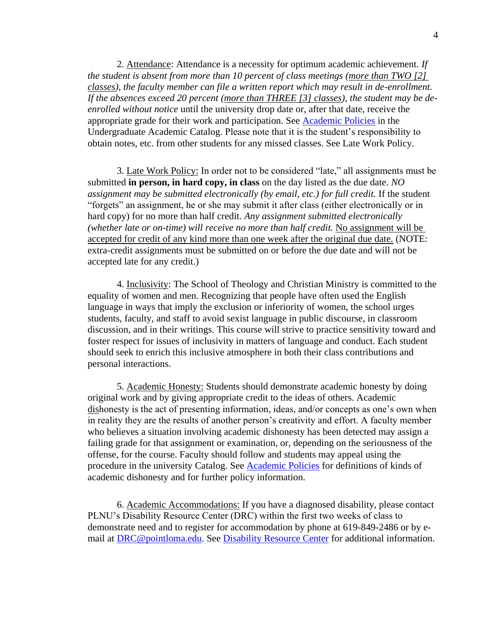2. Attendance: Attendance is a necessity for optimum academic achievement. *If the student is absent from more than 10 percent of class meetings (more than TWO [2] classes), the faculty member can file a written report which may result in de-enrollment. If the absences exceed 20 percent (more than THREE [3] classes), the student may be deenrolled without notice* until the university drop date or, after that date, receive the appropriate grade for their work and participation. See [Academic Policies](http://catalog.pointloma.edu/content.php?catoid=18&navoid=1278) in the Undergraduate Academic Catalog. Please note that it is the student's responsibility to obtain notes, etc. from other students for any missed classes. See Late Work Policy.

3. Late Work Policy: In order not to be considered "late," all assignments must be submitted **in person, in hard copy, in class** on the day listed as the due date. *NO assignment may be submitted electronically (by email, etc.) for full credit.* If the student "forgets" an assignment, he or she may submit it after class (either electronically or in hard copy) for no more than half credit. *Any assignment submitted electronically (whether late or on-time) will receive no more than half credit.* No assignment will be accepted for credit of any kind more than one week after the original due date. (NOTE: extra-credit assignments must be submitted on or before the due date and will not be accepted late for any credit.)

4. Inclusivity: The School of Theology and Christian Ministry is committed to the equality of women and men. Recognizing that people have often used the English language in ways that imply the exclusion or inferiority of women, the school urges students, faculty, and staff to avoid sexist language in public discourse, in classroom discussion, and in their writings. This course will strive to practice sensitivity toward and foster respect for issues of inclusivity in matters of language and conduct. Each student should seek to enrich this inclusive atmosphere in both their class contributions and personal interactions.

5. Academic Honesty: Students should demonstrate academic honesty by doing original work and by giving appropriate credit to the ideas of others. Academic dishonesty is the act of presenting information, ideas, and/or concepts as one's own when in reality they are the results of another person's creativity and effort. A faculty member who believes a situation involving academic dishonesty has been detected may assign a failing grade for that assignment or examination, or, depending on the seriousness of the offense, for the course. Faculty should follow and students may appeal using the procedure in the university Catalog. See [Academic Policies](http://catalog.pointloma.edu/content.php?catoid=18&navoid=1278) for definitions of kinds of academic dishonesty and for further policy information.

6. Academic Accommodations: If you have a diagnosed disability, please contact PLNU's Disability Resource Center (DRC) within the first two weeks of class to demonstrate need and to register for accommodation by phone at 619-849-2486 or by email at [DRC@pointloma.edu.](mailto:DRC@pointloma.edu) See [Disability Resource Center](http://www.pointloma.edu/experience/offices/administrative-offices/academic-advising-office/disability-resource-center) for additional information.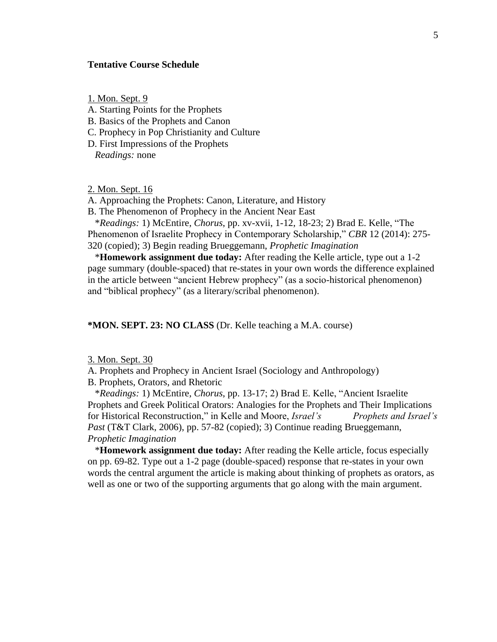# **Tentative Course Schedule**

1. Mon. Sept. 9

- A. Starting Points for the Prophets
- B. Basics of the Prophets and Canon
- C. Prophecy in Pop Christianity and Culture
- D. First Impressions of the Prophets

*Readings:* none

2. Mon. Sept. 16

A. Approaching the Prophets: Canon, Literature, and History

B. The Phenomenon of Prophecy in the Ancient Near East

 \**Readings:* 1) McEntire, *Chorus*, pp. xv-xvii, 1-12, 18-23; 2) Brad E. Kelle, "The Phenomenon of Israelite Prophecy in Contemporary Scholarship," *CBR* 12 (2014): 275- 320 (copied); 3) Begin reading Brueggemann, *Prophetic Imagination*

 \***Homework assignment due today:** After reading the Kelle article, type out a 1-2 page summary (double-spaced) that re-states in your own words the difference explained in the article between "ancient Hebrew prophecy" (as a socio-historical phenomenon) and "biblical prophecy" (as a literary/scribal phenomenon).

# **\*MON. SEPT. 23: NO CLASS** (Dr. Kelle teaching a M.A. course)

3. Mon. Sept. 30

A. Prophets and Prophecy in Ancient Israel (Sociology and Anthropology)

B. Prophets, Orators, and Rhetoric

 \**Readings:* 1) McEntire, *Chorus*, pp. 13-17; 2) Brad E. Kelle, "Ancient Israelite Prophets and Greek Political Orators: Analogies for the Prophets and Their Implications for Historical Reconstruction," in Kelle and Moore, *Israel's Prophets and Israel's Past* (T&T Clark, 2006), pp. 57-82 (copied); 3) Continue reading Brueggemann, *Prophetic Imagination*

 \***Homework assignment due today:** After reading the Kelle article, focus especially on pp. 69-82. Type out a 1-2 page (double-spaced) response that re-states in your own words the central argument the article is making about thinking of prophets as orators, as well as one or two of the supporting arguments that go along with the main argument.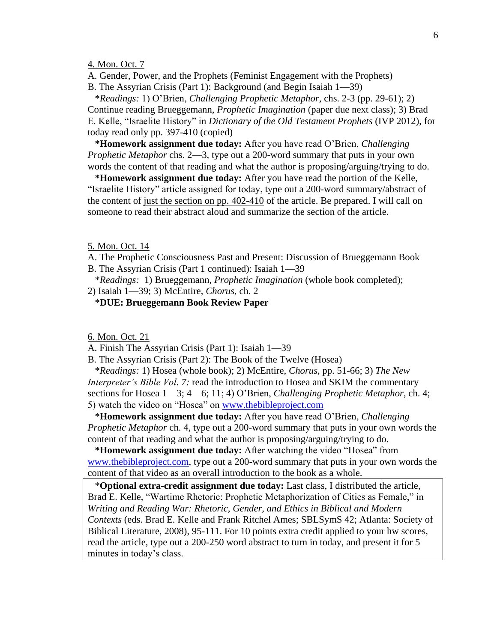# 4. Mon. Oct. 7

A. Gender, Power, and the Prophets (Feminist Engagement with the Prophets) B. The Assyrian Crisis (Part 1): Background (and Begin Isaiah 1—39)

 \**Readings:* 1) O'Brien, *Challenging Prophetic Metaphor,* chs. 2-3 (pp. 29-61); 2) Continue reading Brueggemann, *Prophetic Imagination* (paper due next class); 3) Brad E. Kelle, "Israelite History" in *Dictionary of the Old Testament Prophets* (IVP 2012), for today read only pp. 397-410 (copied)

 **\*Homework assignment due today:** After you have read O'Brien, *Challenging Prophetic Metaphor* chs. 2—3, type out a 200-word summary that puts in your own words the content of that reading and what the author is proposing/arguing/trying to do.

 **\*Homework assignment due today:** After you have read the portion of the Kelle, "Israelite History" article assigned for today, type out a 200-word summary/abstract of the content of just the section on pp. 402-410 of the article. Be prepared. I will call on someone to read their abstract aloud and summarize the section of the article.

5. Mon. Oct. 14

A. The Prophetic Consciousness Past and Present: Discussion of Brueggemann Book B. The Assyrian Crisis (Part 1 continued): Isaiah 1—39

\**Readings:* 1) Brueggemann, *Prophetic Imagination* (whole book completed);

2) Isaiah 1—39; 3) McEntire, *Chorus*, ch. 2

\***DUE: Brueggemann Book Review Paper**

6. Mon. Oct. 21

A. Finish The Assyrian Crisis (Part 1): Isaiah 1—39

B. The Assyrian Crisis (Part 2): The Book of the Twelve (Hosea)

 \**Readings:* 1) Hosea (whole book); 2) McEntire, *Chorus*, pp. 51-66; 3) *The New Interpreter's Bible Vol. 7:* read the introduction to Hosea and SKIM the commentary sections for Hosea 1—3; 4—6; 11; 4) O'Brien, *Challenging Prophetic Metaphor*, ch. 4; 5) watch the video on "Hosea" on [www.thebibleproject.com](http://www.thebibleproject.com/)

 \***Homework assignment due today:** After you have read O'Brien, *Challenging Prophetic Metaphor* ch. 4, type out a 200-word summary that puts in your own words the content of that reading and what the author is proposing/arguing/trying to do.

 **\*Homework assignment due today:** After watching the video "Hosea" from [www.thebibleproject.com,](http://www.thebibleproject.com/) type out a 200-word summary that puts in your own words the content of that video as an overall introduction to the book as a whole.

 \***Optional extra-credit assignment due today:** Last class, I distributed the article, Brad E. Kelle, "Wartime Rhetoric: Prophetic Metaphorization of Cities as Female," in *Writing and Reading War: Rhetoric, Gender, and Ethics in Biblical and Modern Contexts* (eds. Brad E. Kelle and Frank Ritchel Ames; SBLSymS 42; Atlanta: Society of Biblical Literature, 2008), 95-111. For 10 points extra credit applied to your hw scores, read the article, type out a 200-250 word abstract to turn in today, and present it for 5 minutes in today's class.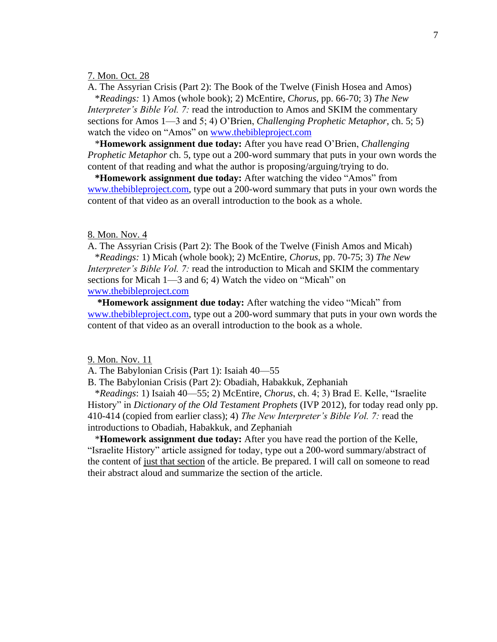## 7. Mon. Oct. 28

A. The Assyrian Crisis (Part 2): The Book of the Twelve (Finish Hosea and Amos)

 \**Readings:* 1) Amos (whole book); 2) McEntire, *Chorus*, pp. 66-70; 3) *The New Interpreter's Bible Vol. 7:* read the introduction to Amos and SKIM the commentary sections for Amos 1—3 and 5; 4) O'Brien, *Challenging Prophetic Metaphor*, ch. 5; 5) watch the video on "Amos" on [www.thebibleproject.com](http://www.thebibleproject.com/)

 \***Homework assignment due today:** After you have read O'Brien, *Challenging Prophetic Metaphor* ch. 5, type out a 200-word summary that puts in your own words the content of that reading and what the author is proposing/arguing/trying to do.

 **\*Homework assignment due today:** After watching the video "Amos" from [www.thebibleproject.com,](http://www.thebibleproject.com/) type out a 200-word summary that puts in your own words the content of that video as an overall introduction to the book as a whole.

### 8. Mon. Nov. 4

A. The Assyrian Crisis (Part 2): The Book of the Twelve (Finish Amos and Micah) \**Readings:* 1) Micah (whole book); 2) McEntire, *Chorus*, pp. 70-75; 3) *The New Interpreter's Bible Vol. 7:* read the introduction to Micah and SKIM the commentary sections for Micah 1—3 and 6; 4) Watch the video on "Micah" on [www.thebibleproject.com](http://www.thebibleproject.com/)

 **\*Homework assignment due today:** After watching the video "Micah" from [www.thebibleproject.com,](http://www.thebibleproject.com/) type out a 200-word summary that puts in your own words the content of that video as an overall introduction to the book as a whole.

## 9. Mon. Nov. 11

A. The Babylonian Crisis (Part 1): Isaiah 40—55

B. The Babylonian Crisis (Part 2): Obadiah, Habakkuk, Zephaniah

 \**Readings*: 1) Isaiah 40—55; 2) McEntire, *Chorus*, ch. 4; 3) Brad E. Kelle, "Israelite History" in *Dictionary of the Old Testament Prophets* (IVP 2012), for today read only pp. 410-414 (copied from earlier class); 4) *The New Interpreter's Bible Vol. 7:* read the introductions to Obadiah, Habakkuk, and Zephaniah

 \***Homework assignment due today:** After you have read the portion of the Kelle, "Israelite History" article assigned for today, type out a 200-word summary/abstract of the content of just that section of the article. Be prepared. I will call on someone to read their abstract aloud and summarize the section of the article.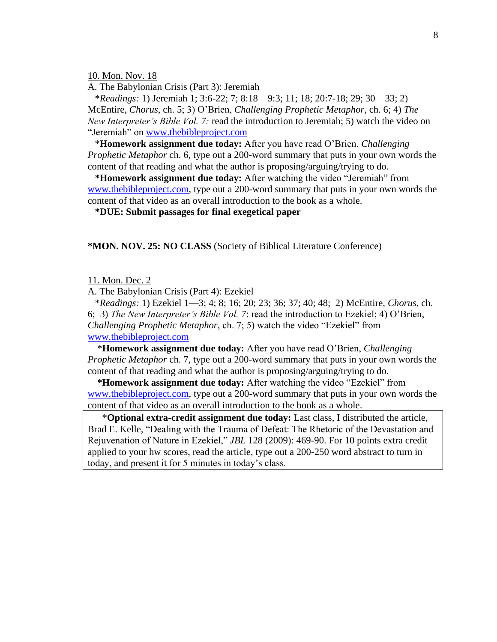10. Mon. Nov. 18

A. The Babylonian Crisis (Part 3): Jeremiah

 \**Readings:* 1) Jeremiah 1; 3:6-22; 7; 8:18—9:3; 11; 18; 20:7-18; 29; 30—33; 2) McEntire, *Chorus*, ch. 5; 3) O'Brien, *Challenging Prophetic Metaphor*, ch. 6; 4) *The New Interpreter's Bible Vol. 7:* read the introduction to Jeremiah; 5) watch the video on "Jeremiah" on [www.thebibleproject.com](http://www.thebibleproject.com/)

 \***Homework assignment due today:** After you have read O'Brien, *Challenging Prophetic Metaphor* ch. 6, type out a 200-word summary that puts in your own words the content of that reading and what the author is proposing/arguing/trying to do.

 **\*Homework assignment due today:** After watching the video "Jeremiah" from [www.thebibleproject.com,](http://www.thebibleproject.com/) type out a 200-word summary that puts in your own words the content of that video as an overall introduction to the book as a whole.

 **\*DUE: Submit passages for final exegetical paper**

**\*MON. NOV. 25: NO CLASS** (Society of Biblical Literature Conference)

11. Mon. Dec. 2

A. The Babylonian Crisis (Part 4): Ezekiel

 \**Readings:* 1) Ezekiel 1—3; 4; 8; 16; 20; 23; 36; 37; 40; 48; 2) McEntire, *Chorus*, ch. 6; 3) *The New Interpreter's Bible Vol. 7*: read the introduction to Ezekiel; 4) O'Brien, *Challenging Prophetic Metaphor*, ch. 7; 5) watch the video "Ezekiel" from [www.thebibleproject.com](http://www.thebibleproject.com/)

 \***Homework assignment due today:** After you have read O'Brien, *Challenging Prophetic Metaphor* ch. 7, type out a 200-word summary that puts in your own words the content of that reading and what the author is proposing/arguing/trying to do.

 **\*Homework assignment due today:** After watching the video "Ezekiel" from [www.thebibleproject.com,](http://www.thebibleproject.com/) type out a 200-word summary that puts in your own words the content of that video as an overall introduction to the book as a whole.

\***Optional extra-credit assignment due today:** Last class, I distributed the article, Brad E. Kelle, "Dealing with the Trauma of Defeat: The Rhetoric of the Devastation and Rejuvenation of Nature in Ezekiel," *JBL* 128 (2009): 469-90. For 10 points extra credit applied to your hw scores, read the article, type out a 200-250 word abstract to turn in today, and present it for 5 minutes in today's class.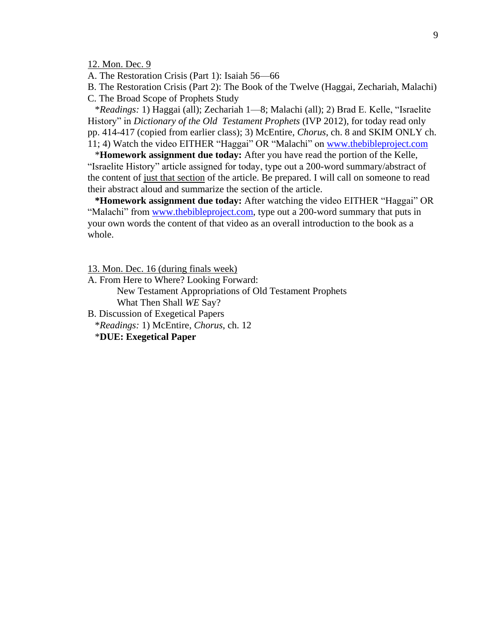12. Mon. Dec. 9

A. The Restoration Crisis (Part 1): Isaiah 56—66

B. The Restoration Crisis (Part 2): The Book of the Twelve (Haggai, Zechariah, Malachi) C. The Broad Scope of Prophets Study

 \**Readings:* 1) Haggai (all); Zechariah 1—8; Malachi (all); 2) Brad E. Kelle, "Israelite History" in *Dictionary of the Old Testament Prophets* (IVP 2012), for today read only pp. 414-417 (copied from earlier class); 3) McEntire, *Chorus*, ch. 8 and SKIM ONLY ch. 11; 4) Watch the video EITHER "Haggai" OR "Malachi" on [www.thebibleproject.com](http://www.thebibleproject.com/)

 \***Homework assignment due today:** After you have read the portion of the Kelle, "Israelite History" article assigned for today, type out a 200-word summary/abstract of the content of just that section of the article. Be prepared. I will call on someone to read their abstract aloud and summarize the section of the article.

 **\*Homework assignment due today:** After watching the video EITHER "Haggai" OR "Malachi" from [www.thebibleproject.com,](http://www.thebibleproject.com/) type out a 200-word summary that puts in your own words the content of that video as an overall introduction to the book as a whole.

13. Mon. Dec. 16 (during finals week)

A. From Here to Where? Looking Forward:

New Testament Appropriations of Old Testament Prophets What Then Shall *WE* Say?

B. Discussion of Exegetical Papers

\**Readings:* 1) McEntire, *Chorus*, ch. 12

\***DUE: Exegetical Paper**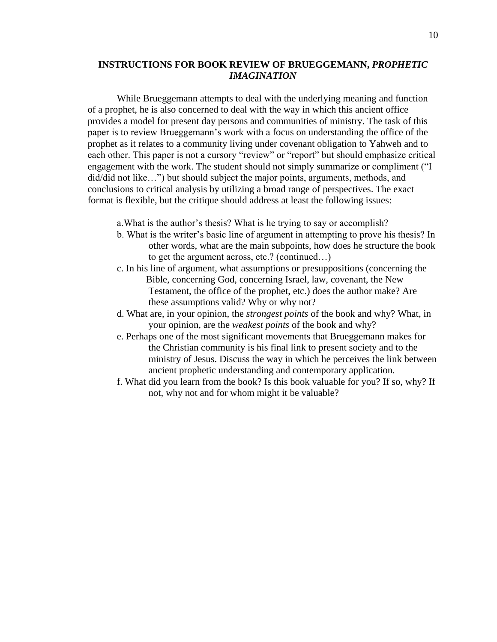# **INSTRUCTIONS FOR BOOK REVIEW OF BRUEGGEMANN,** *PROPHETIC IMAGINATION*

While Brueggemann attempts to deal with the underlying meaning and function of a prophet, he is also concerned to deal with the way in which this ancient office provides a model for present day persons and communities of ministry. The task of this paper is to review Brueggemann's work with a focus on understanding the office of the prophet as it relates to a community living under covenant obligation to Yahweh and to each other. This paper is not a cursory "review" or "report" but should emphasize critical engagement with the work. The student should not simply summarize or compliment ("I did/did not like…") but should subject the major points, arguments, methods, and conclusions to critical analysis by utilizing a broad range of perspectives. The exact format is flexible, but the critique should address at least the following issues:

- a.What is the author's thesis? What is he trying to say or accomplish?
- b. What is the writer's basic line of argument in attempting to prove his thesis? In other words, what are the main subpoints, how does he structure the book to get the argument across, etc.? (continued…)
- c. In his line of argument, what assumptions or presuppositions (concerning the Bible, concerning God, concerning Israel, law, covenant, the New Testament, the office of the prophet, etc.) does the author make? Are these assumptions valid? Why or why not?
- d. What are, in your opinion, the *strongest points* of the book and why? What, in your opinion, are the *weakest points* of the book and why?
- e. Perhaps one of the most significant movements that Brueggemann makes for the Christian community is his final link to present society and to the ministry of Jesus. Discuss the way in which he perceives the link between ancient prophetic understanding and contemporary application.
- f. What did you learn from the book? Is this book valuable for you? If so, why? If not, why not and for whom might it be valuable?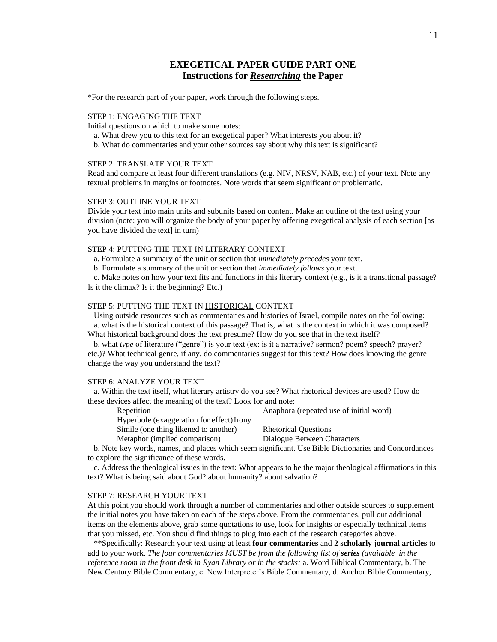# **EXEGETICAL PAPER GUIDE PART ONE Instructions for** *Researching* **the Paper**

\*For the research part of your paper, work through the following steps.

### STEP 1: ENGAGING THE TEXT

Initial questions on which to make some notes:

- a. What drew you to this text for an exegetical paper? What interests you about it?
- b. What do commentaries and your other sources say about why this text is significant?

### STEP 2: TRANSLATE YOUR TEXT

Read and compare at least four different translations (e.g. NIV, NRSV, NAB, etc.) of your text. Note any textual problems in margins or footnotes. Note words that seem significant or problematic.

### STEP 3: OUTLINE YOUR TEXT

Divide your text into main units and subunits based on content. Make an outline of the text using your division (note: you will organize the body of your paper by offering exegetical analysis of each section [as you have divided the text] in turn)

### STEP 4: PUTTING THE TEXT IN LITERARY CONTEXT

a. Formulate a summary of the unit or section that *immediately precedes* your text.

b. Formulate a summary of the unit or section that *immediately follows* your text.

 c. Make notes on how your text fits and functions in this literary context (e.g., is it a transitional passage? Is it the climax? Is it the beginning? Etc.)

#### STEP 5: PUTTING THE TEXT IN HISTORICAL CONTEXT

 Using outside resources such as commentaries and histories of Israel, compile notes on the following: a. what is the historical context of this passage? That is, what is the context in which it was composed? What historical background does the text presume? How do you see that in the text itself?

 b. what *type* of literature ("genre") is your text (ex: is it a narrative? sermon? poem? speech? prayer? etc.)? What technical genre, if any, do commentaries suggest for this text? How does knowing the genre change the way you understand the text?

### STEP 6: ANALYZE YOUR TEXT

 a. Within the text itself, what literary artistry do you see? What rhetorical devices are used? How do these devices affect the meaning of the text? Look for and note:

Repetition Anaphora (repeated use of initial word)

Hyperbole (exaggeration for effect)Irony

Simile (one thing likened to another) Rhetorical Questions

Metaphor (implied comparison) Dialogue Between Characters

 b. Note key words, names, and places which seem significant. Use Bible Dictionaries and Concordances to explore the significance of these words.

 c. Address the theological issues in the text: What appears to be the major theological affirmations in this text? What is being said about God? about humanity? about salvation?

#### STEP 7: RESEARCH YOUR TEXT

At this point you should work through a number of commentaries and other outside sources to supplement the initial notes you have taken on each of the steps above. From the commentaries, pull out additional items on the elements above, grab some quotations to use, look for insights or especially technical items that you missed, etc. You should find things to plug into each of the research categories above.

 \*\*Specifically: Research your text using at least **four commentaries** and **2 scholarly journal articles** to add to your work. *The four commentaries MUST be from the following list of series (available in the reference room in the front desk in Ryan Library or in the stacks:* a. Word Biblical Commentary, b. The New Century Bible Commentary, c. New Interpreter's Bible Commentary, d. Anchor Bible Commentary,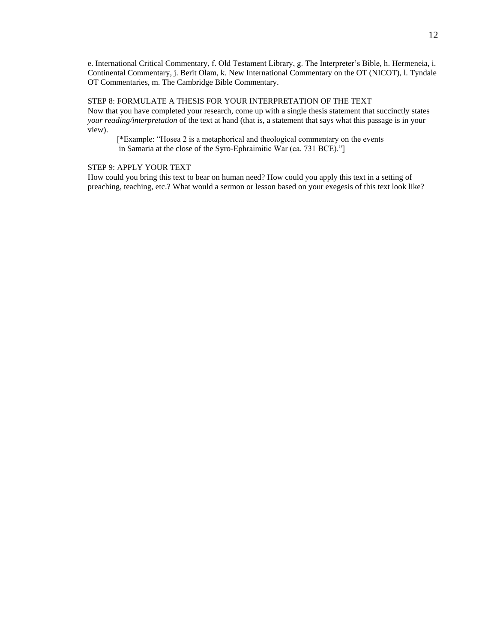e. International Critical Commentary, f. Old Testament Library, g. The Interpreter's Bible, h. Hermeneia, i. Continental Commentary, j. Berit Olam, k. New International Commentary on the OT (NICOT), l. Tyndale OT Commentaries, m. The Cambridge Bible Commentary.

STEP 8: FORMULATE A THESIS FOR YOUR INTERPRETATION OF THE TEXT Now that you have completed your research, come up with a single thesis statement that succinctly states *your reading/interpretation* of the text at hand (that is, a statement that says what this passage is in your view).

[\*Example: "Hosea 2 is a metaphorical and theological commentary on the events in Samaria at the close of the Syro-Ephraimitic War (ca. 731 BCE)."]

### STEP 9: APPLY YOUR TEXT

How could you bring this text to bear on human need? How could you apply this text in a setting of preaching, teaching, etc.? What would a sermon or lesson based on your exegesis of this text look like?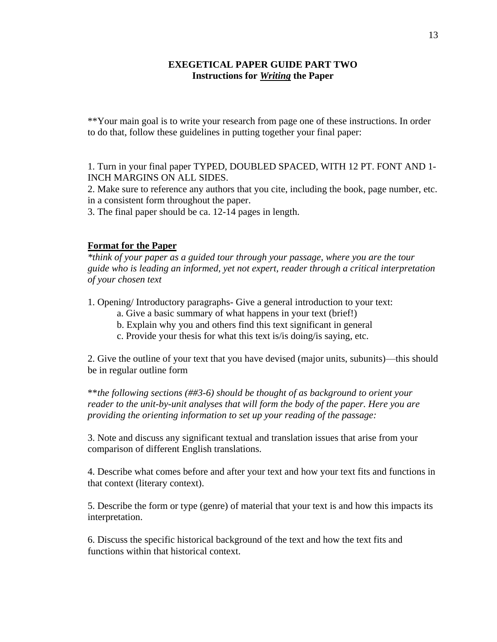# **EXEGETICAL PAPER GUIDE PART TWO Instructions for** *Writing* **the Paper**

\*\*Your main goal is to write your research from page one of these instructions. In order to do that, follow these guidelines in putting together your final paper:

1. Turn in your final paper TYPED, DOUBLED SPACED, WITH 12 PT. FONT AND 1- INCH MARGINS ON ALL SIDES.

2. Make sure to reference any authors that you cite, including the book, page number, etc. in a consistent form throughout the paper.

3. The final paper should be ca. 12-14 pages in length.

# **Format for the Paper**

*\*think of your paper as a guided tour through your passage, where you are the tour guide who is leading an informed, yet not expert, reader through a critical interpretation of your chosen text*

1. Opening/ Introductory paragraphs- Give a general introduction to your text:

- a. Give a basic summary of what happens in your text (brief!)
- b. Explain why you and others find this text significant in general
- c. Provide your thesis for what this text is/is doing/is saying, etc.

2. Give the outline of your text that you have devised (major units, subunits)—this should be in regular outline form

\*\**the following sections (##3-6) should be thought of as background to orient your reader to the unit-by-unit analyses that will form the body of the paper. Here you are providing the orienting information to set up your reading of the passage:*

3. Note and discuss any significant textual and translation issues that arise from your comparison of different English translations.

4. Describe what comes before and after your text and how your text fits and functions in that context (literary context).

5. Describe the form or type (genre) of material that your text is and how this impacts its interpretation.

6. Discuss the specific historical background of the text and how the text fits and functions within that historical context.